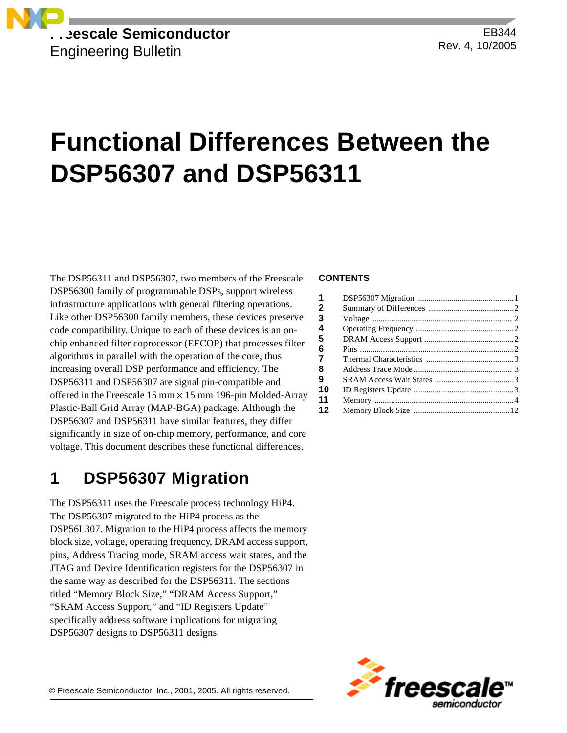

# **Functional Differences Between the DSP56307 and DSP56311**

The DSP56311 and DSP56307, two members of the Freescale DSP56300 family of programmable DSPs, support wireless infrastructure applications with general filtering operations. Like other DSP56300 family members, these devices preserve code compatibility. Unique to each of these devices is an onchip enhanced filter coprocessor (EFCOP) that processes filter algorithms in parallel with the operation of the core, thus increasing overall DSP performance and efficiency. The DSP56311 and DSP56307 are signal pin-compatible and offered in the Freescale  $15 \text{ mm} \times 15 \text{ mm}$  196-pin Molded-Array Plastic-Ball Grid Array (MAP-BGA) package. Although the DSP56307 and DSP56311 have similar features, they differ significantly in size of on-chip memory, performance, and core voltage. This document describes these functional differences.

### **1 DSP56307 Migration**

The DSP56311 uses the Freescale process technology HiP4. The DSP56307 migrated to the HiP4 process as the DSP56L307. Migration to the HiP4 process affects the memory block size, voltage, operating frequency, DRAM access support, pins, Address Tracing mode, SRAM access wait states, and the JTAG and Device Identification registers for the DSP56307 in the same way as described for the DSP56311. The sections titled "Memory Block Size," "DRAM Access Support," "SRAM Access Support," and "ID Registers Update" specifically address software implications for migrating DSP56307 designs to DSP56311 designs.

### **CONTENTS**

| 1  |  |
|----|--|
| 2  |  |
| 3  |  |
| 4  |  |
| 5  |  |
| 6  |  |
| 7  |  |
| 8  |  |
| 9  |  |
| 10 |  |
| 11 |  |
| 12 |  |

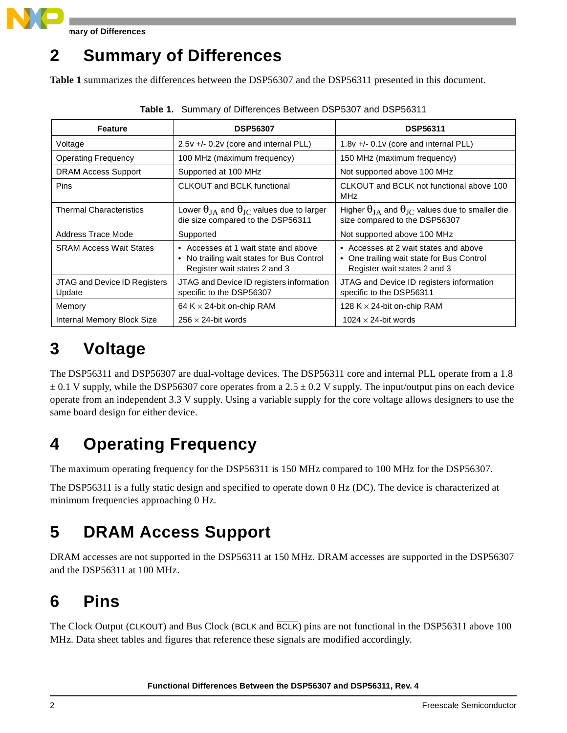

**Summary of Differences**

# **2 Summary of Differences**

**[Table 1](#page-1-0)** summarizes the differences between the DSP56307 and the DSP56311 presented in this document.

<span id="page-1-0"></span>

| <b>Feature</b>                                | <b>DSP56307</b>                                                                                                   | <b>DSP56311</b>                                                                                                    |
|-----------------------------------------------|-------------------------------------------------------------------------------------------------------------------|--------------------------------------------------------------------------------------------------------------------|
| Voltage                                       | 2.5v +/- 0.2v (core and internal PLL)                                                                             | 1.8v +/- 0.1v (core and internal PLL)                                                                              |
| <b>Operating Frequency</b>                    | 100 MHz (maximum frequency)                                                                                       | 150 MHz (maximum frequency)                                                                                        |
| <b>DRAM Access Support</b>                    | Supported at 100 MHz                                                                                              | Not supported above 100 MHz                                                                                        |
| <b>Pins</b>                                   | <b>CLKOUT and BCLK functional</b>                                                                                 | CLKOUT and BCLK not functional above 100<br>MHz                                                                    |
| <b>Thermal Characteristics</b>                | Lower $\theta_{IA}$ and $\theta_{JC}$ values due to larger<br>die size compared to the DSP56311                   | Higher $\theta_{IA}$ and $\theta_{IC}$ values due to smaller die<br>size compared to the DSP56307                  |
| <b>Address Trace Mode</b>                     | Supported                                                                                                         | Not supported above 100 MHz                                                                                        |
| <b>SRAM Access Wait States</b>                | • Accesses at 1 wait state and above<br>• No trailing wait states for Bus Control<br>Register wait states 2 and 3 | • Accesses at 2 wait states and above<br>• One trailing wait state for Bus Control<br>Register wait states 2 and 3 |
| <b>JTAG and Device ID Registers</b><br>Update | JTAG and Device ID registers information<br>specific to the DSP56307                                              | JTAG and Device ID registers information<br>specific to the DSP56311                                               |
| Memory                                        | 64 K $\times$ 24-bit on-chip RAM                                                                                  | 128 K $\times$ 24-bit on-chip RAM                                                                                  |
| Internal Memory Block Size                    | $256 \times 24$ -bit words                                                                                        | $1024 \times 24$ -bit words                                                                                        |

**Table 1.** Summary of Differences Between DSP5307 and DSP56311

### **3 Voltage**

The DSP56311 and DSP56307 are dual-voltage devices. The DSP56311 core and internal PLL operate from a 1.8  $\pm$  0.1 V supply, while the DSP56307 core operates from a 2.5  $\pm$  0.2 V supply. The input/output pins on each device operate from an independent 3.3 V supply. Using a variable supply for the core voltage allows designers to use the same board design for either device.

# **4 Operating Frequency**

The maximum operating frequency for the DSP56311 is 150 MHz compared to 100 MHz for the DSP56307.

The DSP56311 is a fully static design and specified to operate down 0 Hz (DC). The device is characterized at minimum frequencies approaching 0 Hz.

# **5 DRAM Access Support**

DRAM accesses are not supported in the DSP56311 at 150 MHz. DRAM accesses are supported in the DSP56307 and the DSP56311 at 100 MHz.

### **6 Pins**

The Clock Output (CLKOUT) and Bus Clock (BCLK and BCLK) pins are not functional in the DSP56311 above 100 MHz. Data sheet tables and figures that reference these signals are modified accordingly.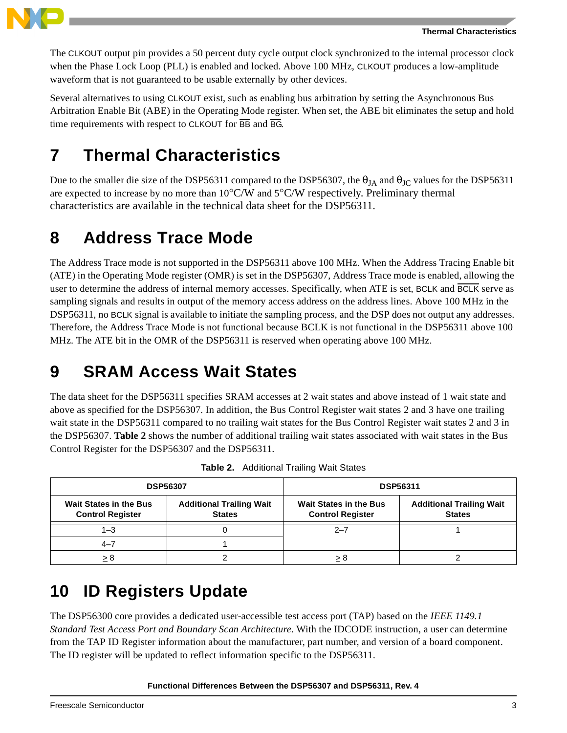**Thermal Characteristics**

The CLKOUT output pin provides a 50 percent duty cycle output clock synchronized to the internal processor clock when the Phase Lock Loop (PLL) is enabled and locked. Above 100 MHz, CLKOUT produces a low-amplitude waveform that is not guaranteed to be usable externally by other devices.

Several alternatives to using CLKOUT exist, such as enabling bus arbitration by setting the Asynchronous Bus Arbitration Enable Bit (ABE) in the Operating Mode register. When set, the ABE bit eliminates the setup and hold time requirements with respect to CLKOUT for BB and BG.

# **7 Thermal Characteristics**

Due to the smaller die size of the DSP56311 compared to the DSP56307, the  $\theta_{JA}$  and  $\theta_{JC}$  values for the DSP56311 are expected to increase by no more than 10°C/W and 5°C/W respectively. Preliminary thermal characteristics are available in the technical data sheet for the DSP56311.

### **8 Address Trace Mode**

The Address Trace mode is not supported in the DSP56311 above 100 MHz. When the Address Tracing Enable bit (ATE) in the Operating Mode register (OMR) is set in the DSP56307, Address Trace mode is enabled, allowing the user to determine the address of internal memory accesses. Specifically, when ATE is set, BCLK and BCLK serve as sampling signals and results in output of the memory access address on the address lines. Above 100 MHz in the DSP56311, no BCLK signal is available to initiate the sampling process, and the DSP does not output any addresses. Therefore, the Address Trace Mode is not functional because BCLK is not functional in the DSP56311 above 100 MHz. The ATE bit in the OMR of the DSP56311 is reserved when operating above 100 MHz.

# **9 SRAM Access Wait States**

The data sheet for the DSP56311 specifies SRAM accesses at 2 wait states and above instead of 1 wait state and above as specified for the DSP56307. In addition, the Bus Control Register wait states 2 and 3 have one trailing wait state in the DSP56311 compared to no trailing wait states for the Bus Control Register wait states 2 and 3 in the DSP56307. **[Table 2](#page-2-0)** shows the number of additional trailing wait states associated with wait states in the Bus Control Register for the DSP56307 and the DSP56311.

<span id="page-2-0"></span>

| <b>DSP56307</b>                                          |                                                  | <b>DSP56311</b>                                          |                                                  |  |  |
|----------------------------------------------------------|--------------------------------------------------|----------------------------------------------------------|--------------------------------------------------|--|--|
| <b>Wait States in the Bus</b><br><b>Control Register</b> | <b>Additional Trailing Wait</b><br><b>States</b> | <b>Wait States in the Bus</b><br><b>Control Register</b> | <b>Additional Trailing Wait</b><br><b>States</b> |  |  |
| $1 - 3$                                                  |                                                  | $2 - 7$                                                  |                                                  |  |  |
| $4 - 7$                                                  |                                                  |                                                          |                                                  |  |  |
| > 8                                                      |                                                  | > ୪                                                      |                                                  |  |  |

| <b>Table 2.</b> Additional Trailing Wait States |  |  |
|-------------------------------------------------|--|--|
|                                                 |  |  |

# **10 ID Registers Update**

The DSP56300 core provides a dedicated user-accessible test access port (TAP) based on the *IEEE 1149.1 Standard Test Access Port and Boundary Scan Architecture*. With the IDCODE instruction, a user can determine from the TAP ID Register information about the manufacturer, part number, and version of a board component. The ID register will be updated to reflect information specific to the DSP56311.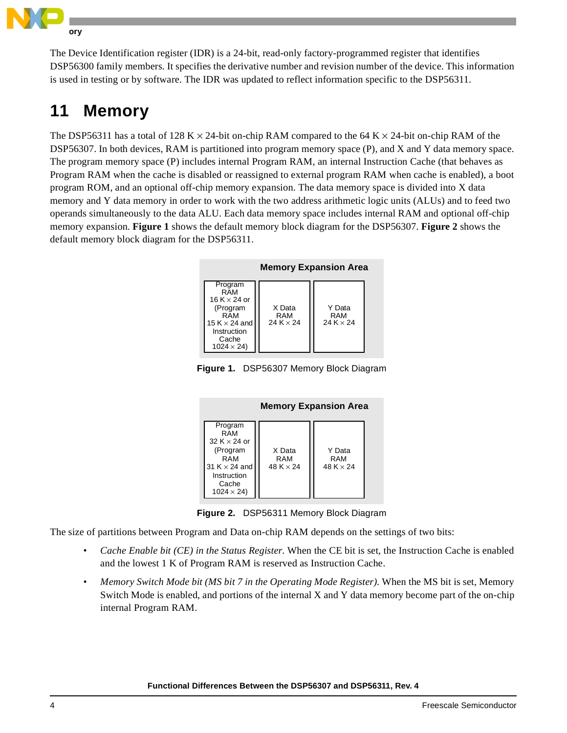

The Device Identification register (IDR) is a 24-bit, read-only factory-programmed register that identifies DSP56300 family members. It specifies the derivative number and revision number of the device. This information is used in testing or by software. The IDR was updated to reflect information specific to the DSP56311.

### **11 Memory**

ory

The DSP56311 has a total of 128 K  $\times$  24-bit on-chip RAM compared to the 64 K  $\times$  24-bit on-chip RAM of the DSP56307. In both devices, RAM is partitioned into program memory space (P), and X and Y data memory space. The program memory space (P) includes internal Program RAM, an internal Instruction Cache (that behaves as Program RAM when the cache is disabled or reassigned to external program RAM when cache is enabled), a boot program ROM, and an optional off-chip memory expansion. The data memory space is divided into X data memory and Y data memory in order to work with the two address arithmetic logic units (ALUs) and to feed two operands simultaneously to the data ALU. Each data memory space includes internal RAM and optional off-chip memory expansion. **[Figure 1](#page-3-0)** shows the default memory block diagram for the DSP56307. **[Figure 2](#page-3-1)** shows the default memory block diagram for the DSP56311.



**Figure 1.** DSP56307 Memory Block Diagram

<span id="page-3-0"></span>



<span id="page-3-1"></span>The size of partitions between Program and Data on-chip RAM depends on the settings of two bits:

- *Cache Enable bit (CE) in the Status Register*. When the CE bit is set, the Instruction Cache is enabled and the lowest 1 K of Program RAM is reserved as Instruction Cache.
- *Memory Switch Mode bit (MS bit 7 in the Operating Mode Register)*. When the MS bit is set, Memory Switch Mode is enabled, and portions of the internal X and Y data memory become part of the on-chip internal Program RAM.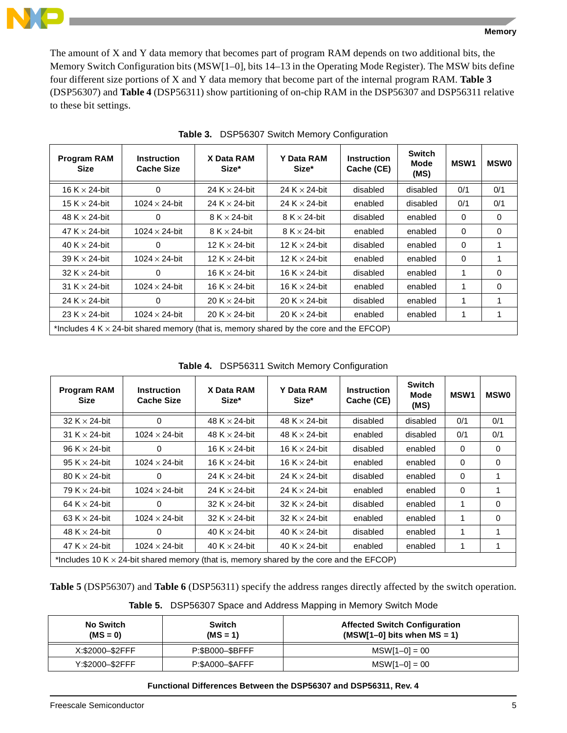

The amount of X and Y data memory that becomes part of program RAM depends on two additional bits, the Memory Switch Configuration bits (MSW[1–0], bits 14–13 in the Operating Mode Register). The MSW bits define four different size portions of X and Y data memory that become part of the internal program RAM. **[Table 3](#page-4-0)** (DSP56307) and **[Table 4](#page-4-1)** (DSP56311) show partitioning of on-chip RAM in the DSP56307 and DSP56311 relative to these bit settings.

<span id="page-4-0"></span>

| Program RAM<br><b>Size</b> | <b>Instruction</b><br><b>Cache Size</b>                                                        | X Data RAM<br>Size*  | Y Data RAM<br>Size*  | <b>Instruction</b><br>Cache (CE) | <b>Switch</b><br>Mode<br>(MS) | MSW <sub>1</sub> | <b>MSWO</b> |  |  |
|----------------------------|------------------------------------------------------------------------------------------------|----------------------|----------------------|----------------------------------|-------------------------------|------------------|-------------|--|--|
| 16 K $\times$ 24-bit       | 0                                                                                              | 24 K $\times$ 24-bit | 24 K $\times$ 24-bit | disabled                         | disabled                      | 0/1              | 0/1         |  |  |
| 15 K $\times$ 24-bit       | $1024 \times 24$ -bit                                                                          | 24 K $\times$ 24-bit | 24 K $\times$ 24-bit | enabled                          | disabled                      | 0/1              | 0/1         |  |  |
| 48 K $\times$ 24-bit       | 0                                                                                              | 8 K $\times$ 24-bit  | 8 K $\times$ 24-bit  | disabled                         | enabled                       | 0                | 0           |  |  |
| 47 K $\times$ 24-bit       | $1024 \times 24$ -bit                                                                          | 8 K $\times$ 24-bit  | 8 K $\times$ 24-bit  | enabled                          | enabled                       | $\Omega$         | $\Omega$    |  |  |
| 40 K $\times$ 24-bit       | 0                                                                                              | 12 K $\times$ 24-bit | 12 K $\times$ 24-bit | disabled                         | enabled                       | 0                |             |  |  |
| 39 K $\times$ 24-bit       | $1024 \times 24$ -bit                                                                          | 12 K $\times$ 24-bit | 12 K $\times$ 24-bit | enabled                          | enabled                       | 0                |             |  |  |
| 32 K $\times$ 24-bit       | 0                                                                                              | 16 K $\times$ 24-bit | 16 K $\times$ 24-bit | disabled                         | enabled                       | 1                | $\Omega$    |  |  |
| 31 K $\times$ 24-bit       | $1024 \times 24$ -bit                                                                          | 16 K $\times$ 24-bit | 16 K $\times$ 24-bit | enabled                          | enabled                       | 1                | $\Omega$    |  |  |
| 24 K $\times$ 24-bit       | 0                                                                                              | 20 K $\times$ 24-bit | 20 K $\times$ 24-bit | disabled                         | enabled                       | 1                |             |  |  |
| 23 K $\times$ 24-bit       | $1024 \times 24$ -bit                                                                          | 20 K $\times$ 24-bit | 20 K $\times$ 24-bit | enabled                          | enabled                       | 1                |             |  |  |
|                            | *Includes 4 K $\times$ 24-bit shared memory (that is, memory shared by the core and the EFCOP) |                      |                      |                                  |                               |                  |             |  |  |

**Table 3.** DSP56307 Switch Memory Configuration

**Table 4.** DSP56311 Switch Memory Configuration

<span id="page-4-1"></span>

| <b>Program RAM</b><br>Size | <b>Instruction</b><br><b>Cache Size</b>                                                         | X Data RAM<br>Size*  | Y Data RAM<br><b>Instruction</b><br>Size*<br>Cache (CE) |          | <b>Switch</b><br>Mode<br>(MS) | <b>MSW1</b> | <b>MSW0</b> |  |  |
|----------------------------|-------------------------------------------------------------------------------------------------|----------------------|---------------------------------------------------------|----------|-------------------------------|-------------|-------------|--|--|
| 32 K $\times$ 24-bit       | 0                                                                                               | 48 K $\times$ 24-bit | 48 K $\times$ 24-bit                                    | disabled | disabled                      | 0/1         | 0/1         |  |  |
| 31 K $\times$ 24-bit       | $1024 \times 24$ -bit                                                                           | 48 K $\times$ 24-bit | 48 K $\times$ 24-bit                                    | enabled  | disabled                      | 0/1         | 0/1         |  |  |
| 96 K $\times$ 24-bit       | 0                                                                                               | 16 K $\times$ 24-bit | 16 K $\times$ 24-bit                                    | disabled | enabled                       | 0           | $\Omega$    |  |  |
| 95 K $\times$ 24-bit       | $1024 \times 24$ -bit                                                                           | 16 K $\times$ 24-bit | 16 K $\times$ 24-bit                                    | enabled  | enabled                       | 0           | $\Omega$    |  |  |
| 80 K $\times$ 24-bit       | $\Omega$                                                                                        | 24 K $\times$ 24-bit | 24 K $\times$ 24-bit                                    | disabled | enabled                       | 0           | 1           |  |  |
| 79 K $\times$ 24-bit       | $1024 \times 24$ -bit                                                                           | 24 K $\times$ 24-bit | 24 K $\times$ 24-bit                                    | enabled  | enabled                       | 0           |             |  |  |
| 64 K $\times$ 24-bit       | 0                                                                                               | 32 K $\times$ 24-bit | 32 K $\times$ 24-bit                                    | disabled | enabled                       | 1           | $\Omega$    |  |  |
| 63 K $\times$ 24-bit       | $1024 \times 24$ -bit                                                                           | 32 K $\times$ 24-bit | 32 K $\times$ 24-bit                                    | enabled  | enabled                       | 1           | $\Omega$    |  |  |
| 48 K $\times$ 24-bit       | 0                                                                                               | 40 K $\times$ 24-bit | 40 K $\times$ 24-bit                                    | disabled | enabled                       | 1           |             |  |  |
| 47 K $\times$ 24-bit       | $1024 \times 24$ -bit                                                                           | 40 K $\times$ 24-bit | 40 K $\times$ 24-bit                                    | enabled  | enabled                       | 1           |             |  |  |
|                            | *Includes 10 K $\times$ 24-bit shared memory (that is, memory shared by the core and the EFCOP) |                      |                                                         |          |                               |             |             |  |  |

**[Table 5](#page-4-2)** (DSP56307) and **[Table 6](#page-5-0)** (DSP56311) specify the address ranges directly affected by the switch operation.

**Table 5.** DSP56307 Space and Address Mapping in Memory Switch Mode

<span id="page-4-2"></span>

| No Switch<br>$(MS = 0)$ | <b>Switch</b><br>$(MS = 1)$ | <b>Affected Switch Configuration</b><br>$(MSW[1-0]$ bits when $MS = 1$ ) |  |  |
|-------------------------|-----------------------------|--------------------------------------------------------------------------|--|--|
| X:\$2000-\$2FFF         | P:\$B000-\$BFFF             | MSW[1–0] = 00                                                            |  |  |
| Y:\$2000-\$2FFF         | P:\$A000-\$AFFF             | $MSWI-0 = 00$                                                            |  |  |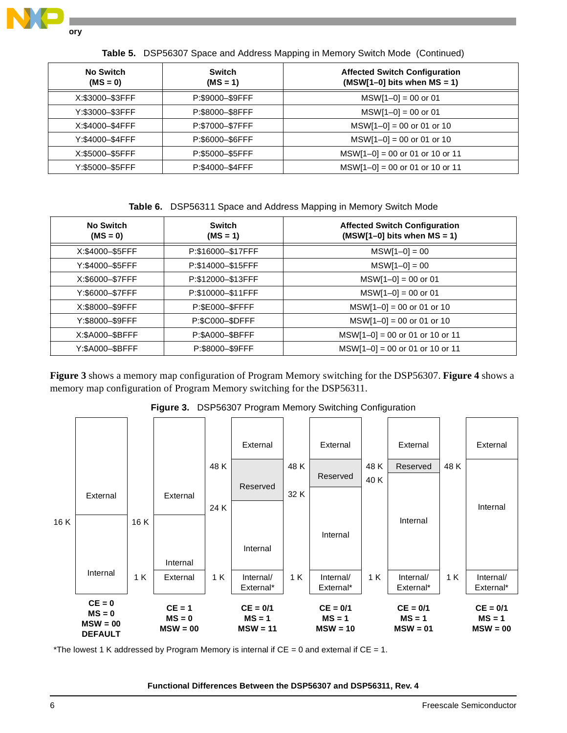

ory

| <b>Switch</b><br>$(MS = 1)$ | <b>Affected Switch Configuration</b><br>$(MSW[1-0]$ bits when $MS = 1$ ) |
|-----------------------------|--------------------------------------------------------------------------|
| P:\$9000-\$9FFF             | $MSW[1-0] = 00$ or 01                                                    |
| P:\$8000-\$8FFF             | $MSW[1-0] = 00$ or 01                                                    |
| P:\$7000-\$7FFF             | $MSW[1-0] = 00$ or 01 or 10                                              |
| P:\$6000-\$6FFF             | $MSW[1-0] = 00$ or 01 or 10                                              |
| P:\$5000-\$5FFF             | $MSW[1-0] = 00$ or 01 or 10 or 11                                        |
| P:\$4000-\$4FFF             | $MSW[1-0] = 00$ or 01 or 10 or 11                                        |
|                             |                                                                          |

**Table 5.** DSP56307 Space and Address Mapping in Memory Switch Mode (Continued)

**Table 6.** DSP56311 Space and Address Mapping in Memory Switch Mode

<span id="page-5-0"></span>

| <b>No Switch</b><br><b>Switch</b><br>$(MS = 1)$<br>$(MS = 0)$ |                   | <b>Affected Switch Configuration</b><br>$(MSW[1-0]$ bits when $MS = 1$ ) |
|---------------------------------------------------------------|-------------------|--------------------------------------------------------------------------|
| X:\$4000-\$5FFF                                               | P:\$16000-\$17FFF | $MSW[1-0] = 00$                                                          |
| Y:\$4000-\$5FFF                                               | P:\$14000-\$15FFF | $MSW[1-0] = 00$                                                          |
| X:\$6000-\$7FFF                                               | P:\$12000-\$13FFF | $MSW[1-0] = 00$ or 01                                                    |
| Y:\$6000-\$7FFF                                               | P:\$10000-\$11FFF | $MSW[1-0] = 00$ or 01                                                    |
| X:\$8000-\$9FFF                                               | P:\$E000-\$FFFF   | $MSW[1-0] = 00$ or 01 or 10                                              |
| Y:\$8000-\$9FFF                                               | P:\$C000-\$DFFF   | $MSW[1-0] = 00$ or 01 or 10                                              |
| X:\$A000-\$BFFF<br>P:\$A000-\$BFFF                            |                   | $MSW[1-0] = 00$ or 01 or 10 or 11                                        |
| Y:\$A000-\$BFFF                                               | P:\$8000-\$9FFF   | $MSW[1-0] = 00$ or 01 or 10 or 11                                        |

**[Figure 3](#page-5-1)** shows a memory map configuration of Program Memory switching for the DSP56307. **[Figure 4](#page-6-0)** shows a memory map configuration of Program Memory switching for the DSP56311.

<span id="page-5-1"></span>

**Figure 3.** DSP56307 Program Memory Switching Configuration

\*The lowest 1 K addressed by Program Memory is internal if  $CE = 0$  and external if  $CE = 1$ .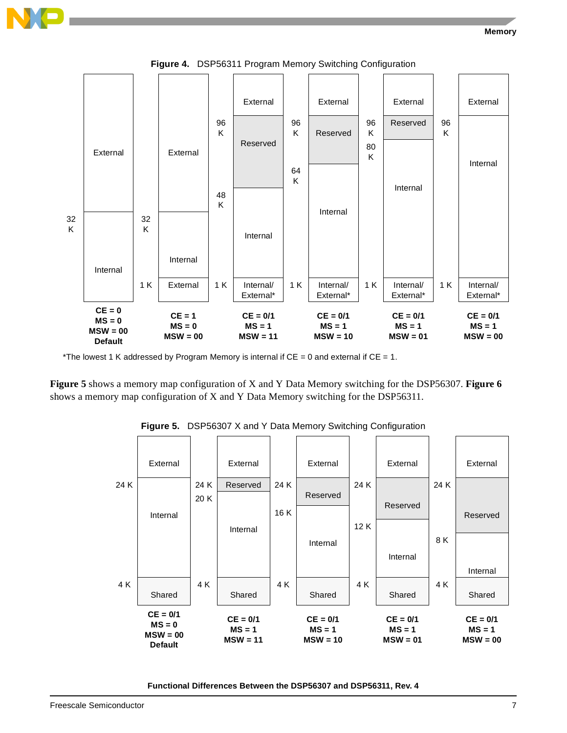

<span id="page-6-0"></span>

**Figure 4.** DSP56311 Program Memory Switching Configuration

<span id="page-6-1"></span>**[Figure 5](#page-6-1)** shows a memory map configuration of X and Y Data Memory switching for the DSP56307. **[Figure 6](#page-7-0)** shows a memory map configuration of X and Y Data Memory switching for the DSP56311.

|      | External                                               |      | External                             |      | External                             |      | External                             |      | External                             |
|------|--------------------------------------------------------|------|--------------------------------------|------|--------------------------------------|------|--------------------------------------|------|--------------------------------------|
| 24 K |                                                        | 24 K | Reserved                             | 24 K |                                      | 24 K |                                      | 24 K |                                      |
|      |                                                        | 20 K |                                      |      | Reserved                             |      | Reserved                             |      |                                      |
|      | Internal                                               |      |                                      | 16 K |                                      | 12K  |                                      |      | Reserved                             |
|      |                                                        |      | Internal                             |      | Internal                             |      |                                      | 8 K  |                                      |
|      |                                                        |      |                                      |      |                                      |      | Internal                             |      |                                      |
|      |                                                        |      |                                      |      |                                      |      |                                      |      | Internal                             |
| 4 K  |                                                        | 4 K  |                                      | 4 K  |                                      | 4 K  |                                      | 4 K  |                                      |
|      | Shared                                                 |      | Shared                               |      | Shared                               |      | Shared                               |      | Shared                               |
|      | $CE = 0/1$<br>$MS = 0$<br>$MSW = 00$<br><b>Default</b> |      | $CE = 0/1$<br>$MS = 1$<br>$MSW = 11$ |      | $CE = 0/1$<br>$MS = 1$<br>$MSW = 10$ |      | $CE = 0/1$<br>$MS = 1$<br>$MSW = 01$ |      | $CE = 0/1$<br>$MS = 1$<br>$MSW = 00$ |

**Figure 5.** DSP56307 X and Y Data Memory Switching Configuration

<sup>\*</sup>The lowest 1 K addressed by Program Memory is internal if  $CE = 0$  and external if  $CE = 1$ .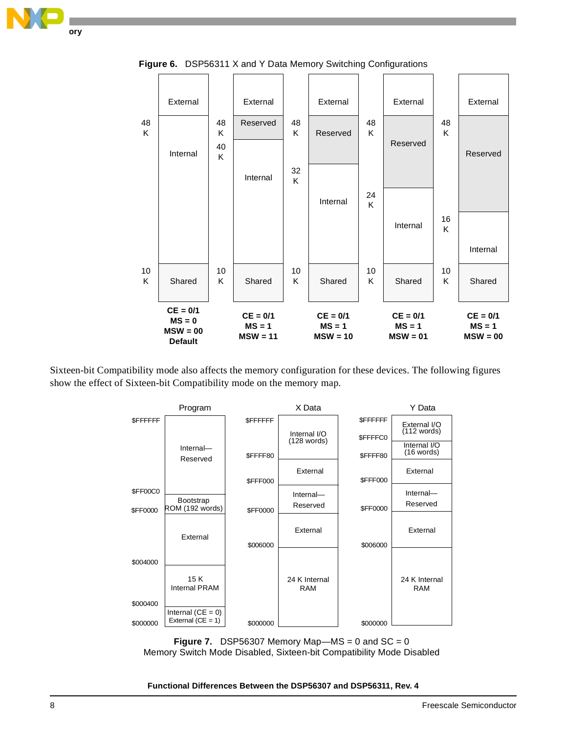<span id="page-7-0"></span>



**Figure 6.** DSP56311 X and Y Data Memory Switching Configurations

Sixteen-bit Compatibility mode also affects the memory configuration for these devices. The following figures show the effect of Sixteen-bit Compatibility mode on the memory map.



**Figure 7.** DSP56307 Memory Map—MS = 0 and  $SC = 0$ Memory Switch Mode Disabled, Sixteen-bit Compatibility Mode Disabled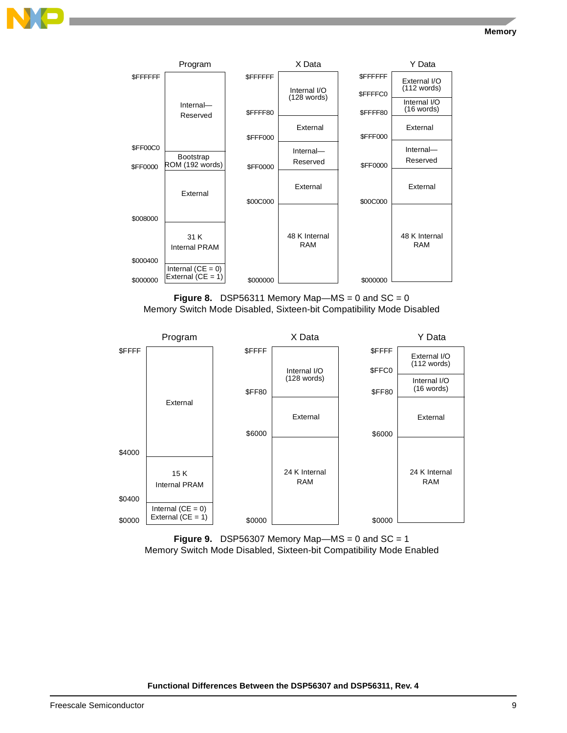

#### **Memory**







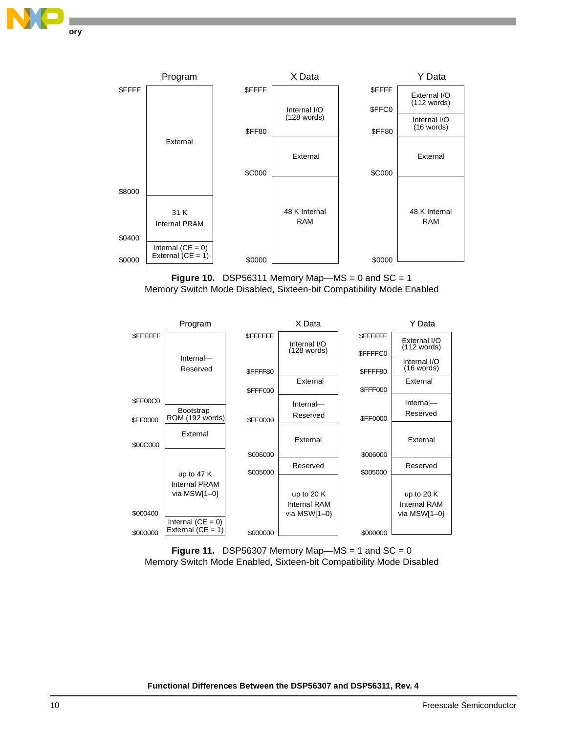

ory







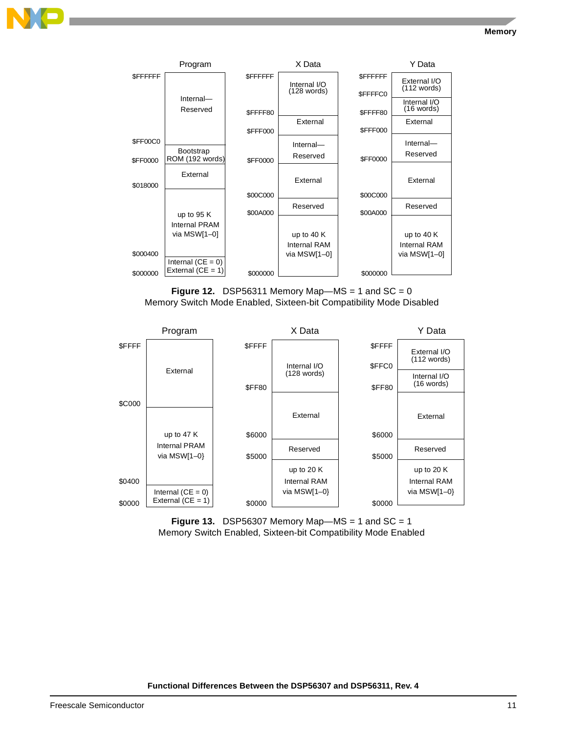

#### **Memory**







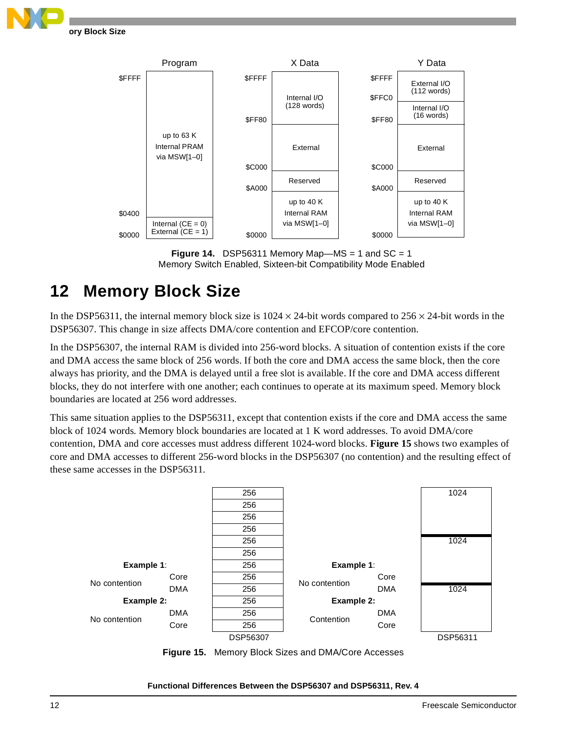



**Figure 14.** DSP56311 Memory Map—MS = 1 and SC = 1 Memory Switch Enabled, Sixteen-bit Compatibility Mode Enabled

### **12 Memory Block Size**

In the DSP56311, the internal memory block size is  $1024 \times 24$ -bit words compared to  $256 \times 24$ -bit words in the DSP56307. This change in size affects DMA/core contention and EFCOP/core contention.

In the DSP56307, the internal RAM is divided into 256-word blocks. A situation of contention exists if the core and DMA access the same block of 256 words. If both the core and DMA access the same block, then the core always has priority, and the DMA is delayed until a free slot is available. If the core and DMA access different blocks, they do not interfere with one another; each continues to operate at its maximum speed. Memory block boundaries are located at 256 word addresses.

This same situation applies to the DSP56311, except that contention exists if the core and DMA access the same block of 1024 words. Memory block boundaries are located at 1 K word addresses. To avoid DMA/core contention, DMA and core accesses must address different 1024-word blocks. **[Figure 15](#page-11-0)** shows two examples of core and DMA accesses to different 256-word blocks in the DSP56307 (no contention) and the resulting effect of these same accesses in the DSP56311.



<span id="page-11-0"></span>**Figure 15.** Memory Block Sizes and DMA/Core Accesses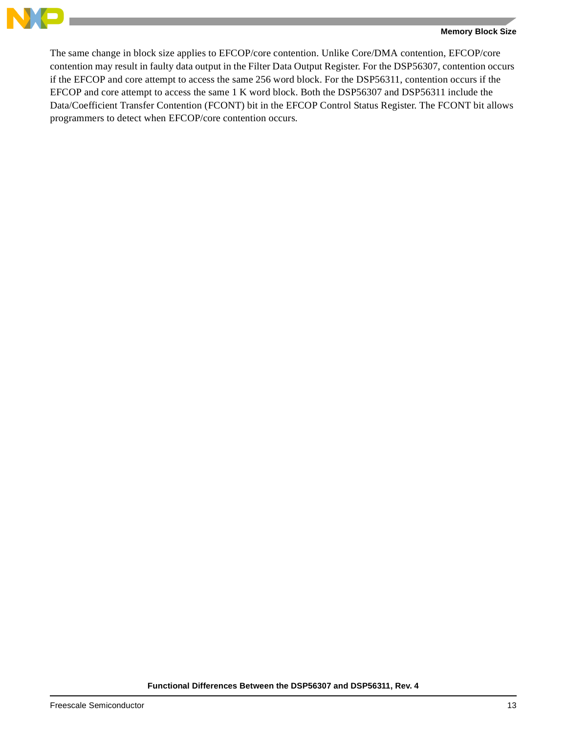

### **Memory Block Size**

The same change in block size applies to EFCOP/core contention. Unlike Core/DMA contention, EFCOP/core contention may result in faulty data output in the Filter Data Output Register. For the DSP56307, contention occurs if the EFCOP and core attempt to access the same 256 word block. For the DSP56311, contention occurs if the EFCOP and core attempt to access the same 1 K word block. Both the DSP56307 and DSP56311 include the Data/Coefficient Transfer Contention (FCONT) bit in the EFCOP Control Status Register. The FCONT bit allows programmers to detect when EFCOP/core contention occurs.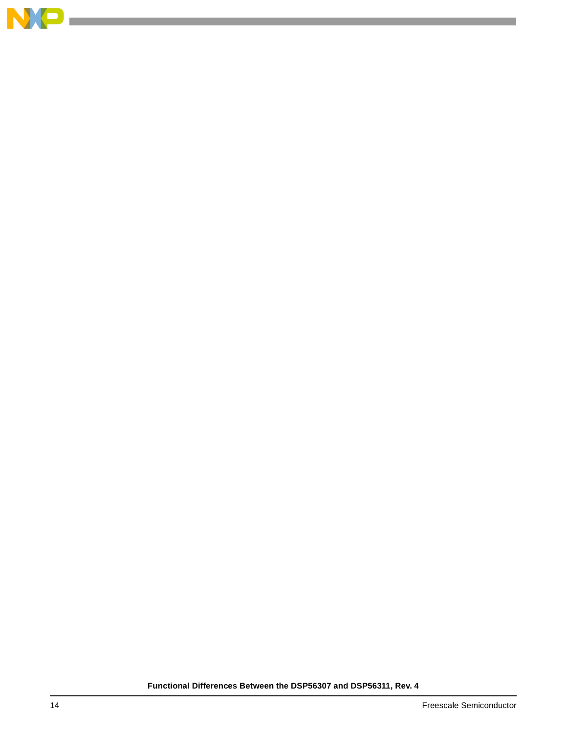

**Contract Contract Contract Contract** 

**Functional Differences Between the DSP56307 and DSP56311, Rev. 4**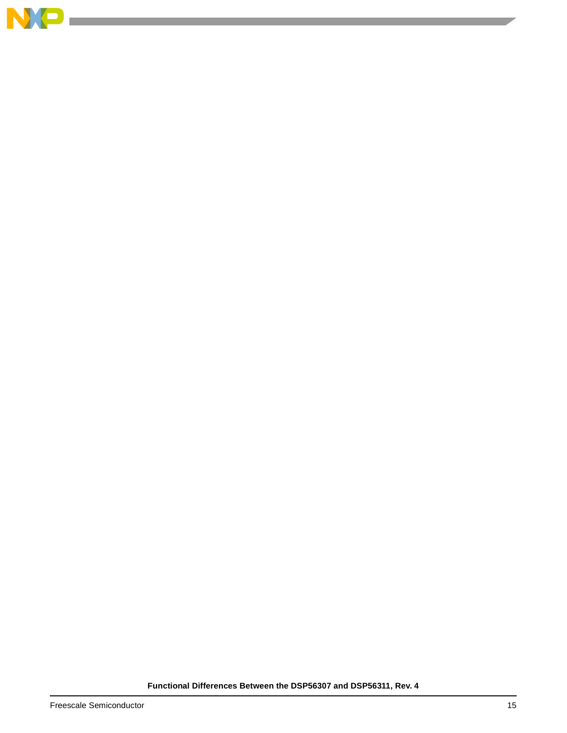

the control of the control of the control of the control of the control of the control of